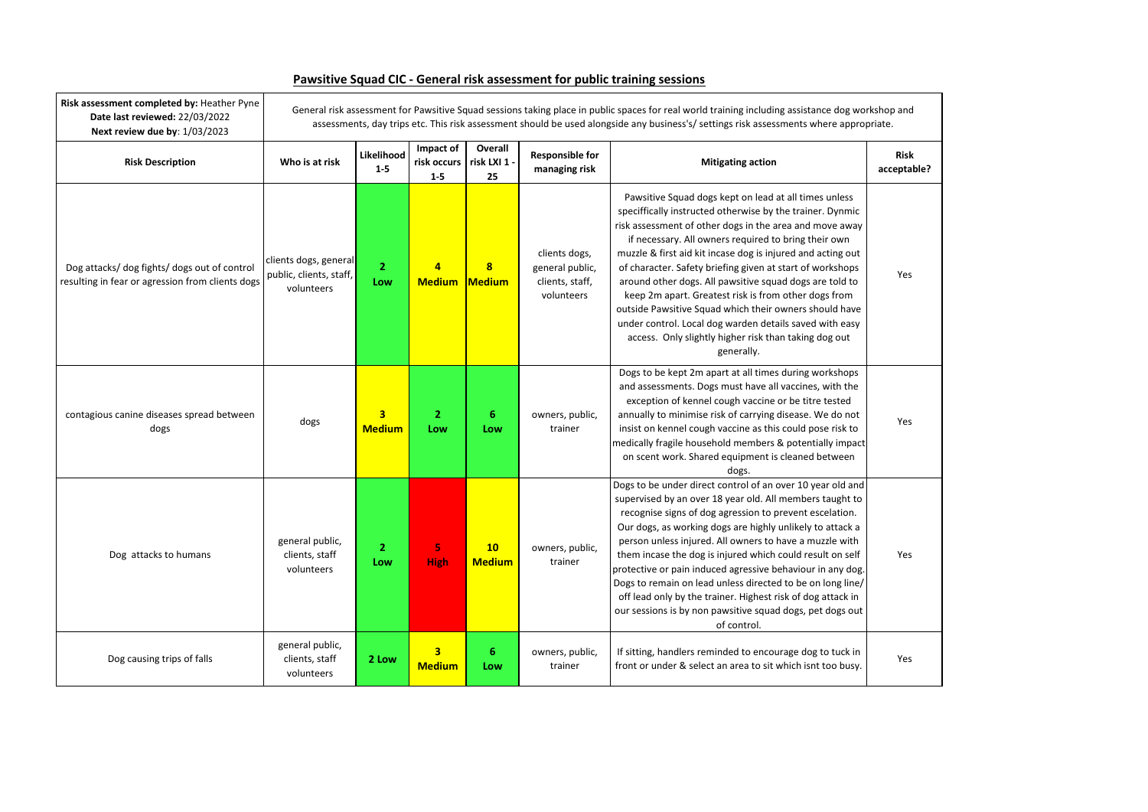

| Risk assessment completed by: Heather Pyne<br>Date last reviewed: 22/03/2022<br>Next review due by: 1/03/2023 | General risk assessment for Pawsitive Squad sessions taking place in public spaces for real world training including assistance dog workshop and<br>assessments, day trips etc. This risk assessment should be used alongside any business's/ settings risk assessments where appropriate. |                                          |                                          |                               |                                                                   |                                                                                                                                                                                                                                                                                                                                                                                                                                                                                                                                                                                                                                                                                  |                         |
|---------------------------------------------------------------------------------------------------------------|--------------------------------------------------------------------------------------------------------------------------------------------------------------------------------------------------------------------------------------------------------------------------------------------|------------------------------------------|------------------------------------------|-------------------------------|-------------------------------------------------------------------|----------------------------------------------------------------------------------------------------------------------------------------------------------------------------------------------------------------------------------------------------------------------------------------------------------------------------------------------------------------------------------------------------------------------------------------------------------------------------------------------------------------------------------------------------------------------------------------------------------------------------------------------------------------------------------|-------------------------|
| <b>Risk Description</b>                                                                                       | Who is at risk                                                                                                                                                                                                                                                                             | Likelihood<br>$1 - 5$                    | Impact of<br>risk occurs<br>$1 - 5$      | Overall<br>risk LXI 1 -<br>25 | <b>Responsible for</b><br>managing risk                           | <b>Mitigating action</b>                                                                                                                                                                                                                                                                                                                                                                                                                                                                                                                                                                                                                                                         | <b>Risk</b><br>acceptak |
| Dog attacks/ dog fights/ dogs out of control<br>resulting in fear or agression from clients dogs              | clients dogs, general<br>public, clients, staff,<br>volunteers                                                                                                                                                                                                                             | $\overline{2}$<br>Low                    | 4<br><b>Medium</b>                       | $\bf{8}$<br><b>Medium</b>     | clients dogs,<br>general public,<br>clients, staff,<br>volunteers | Pawsitive Squad dogs kept on lead at all times unless<br>speciffically instructed otherwise by the trainer. Dynmic<br>risk assessment of other dogs in the area and move away<br>if necessary. All owners required to bring their own<br>muzzle & first aid kit incase dog is injured and acting out<br>of character. Safety briefing given at start of workshops<br>around other dogs. All pawsitive squad dogs are told to<br>keep 2m apart. Greatest risk is from other dogs from<br>outside Pawsitive Squad which their owners should have<br>under control. Local dog warden details saved with easy<br>access. Only slightly higher risk than taking dog out<br>generally. | Yes                     |
| contagious canine diseases spread between<br>dogs                                                             | dogs                                                                                                                                                                                                                                                                                       | $\overline{\mathbf{3}}$<br><b>Medium</b> | $\overline{2}$<br>Low                    | 6<br>Low                      | owners, public,<br>trainer                                        | Dogs to be kept 2m apart at all times during workshops<br>and assessments. Dogs must have all vaccines, with the<br>exception of kennel cough vaccine or be titre tested<br>annually to minimise risk of carrying disease. We do not<br>insist on kennel cough vaccine as this could pose risk to<br>medically fragile household members & potentially impact<br>on scent work. Shared equipment is cleaned between<br>dogs.                                                                                                                                                                                                                                                     | Yes                     |
| Dog attacks to humans                                                                                         | general public,<br>clients, staff<br>volunteers                                                                                                                                                                                                                                            | $\overline{2}$<br>Low                    | 5<br><b>High</b>                         | 10<br><b>Medium</b>           | owners, public,<br>trainer                                        | Dogs to be under direct control of an over 10 year old and<br>supervised by an over 18 year old. All members taught to<br>recognise signs of dog agression to prevent escelation.<br>Our dogs, as working dogs are highly unlikely to attack a<br>person unless injured. All owners to have a muzzle with<br>them incase the dog is injured which could result on self<br>protective or pain induced agressive behaviour in any dog.<br>Dogs to remain on lead unless directed to be on long line/<br>off lead only by the trainer. Highest risk of dog attack in<br>our sessions is by non pawsitive squad dogs, pet dogs out<br>of control.                                    |                         |
| Dog causing trips of falls                                                                                    | general public,<br>clients, staff<br>volunteers                                                                                                                                                                                                                                            | 2 Low                                    | $\overline{\mathbf{3}}$<br><b>Medium</b> | 6<br>Low                      | owners, public,<br>trainer                                        | If sitting, handlers reminded to encourage dog to tuck in<br>front or under & select an area to sit which isnt too busy.                                                                                                                                                                                                                                                                                                                                                                                                                                                                                                                                                         | Yes                     |

## **Pawsitive Squad CIC - General risk assessment for public training sessions**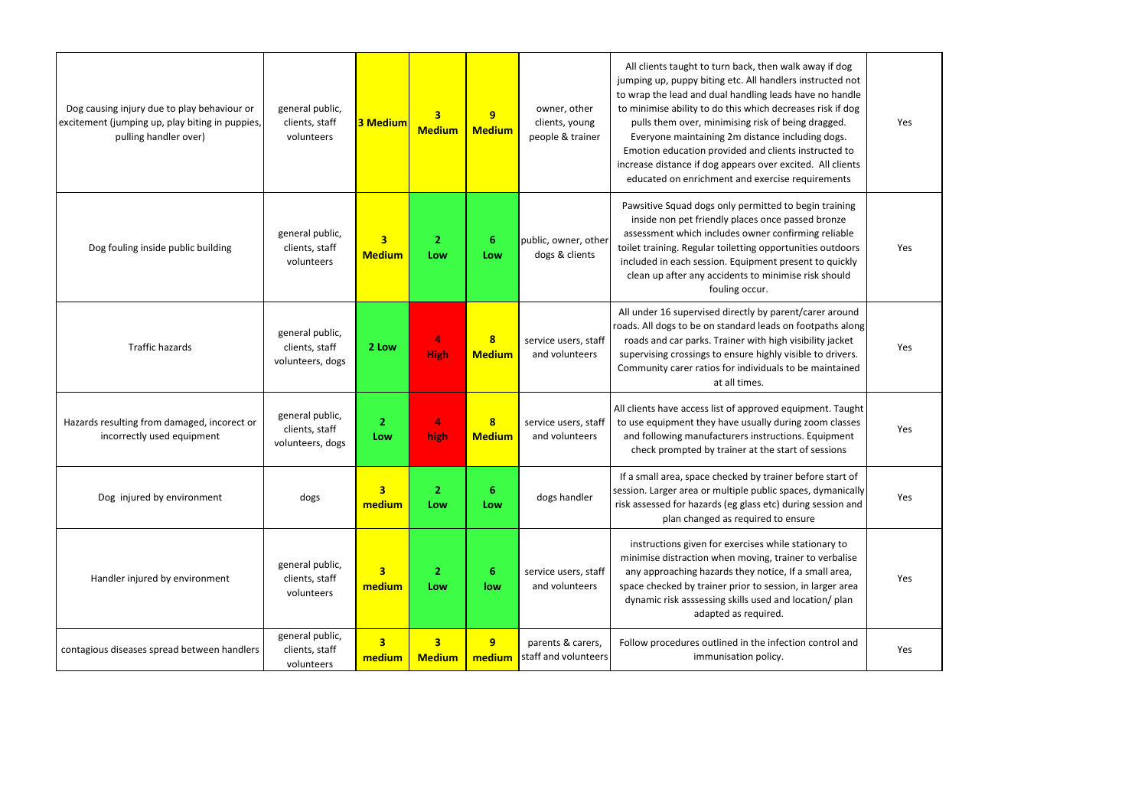| Dog causing injury due to play behaviour or<br>excitement (jumping up, play biting in puppies,<br>pulling handler over) | general public,<br>clients, staff<br>volunteers       | <b>3 Medium</b>                   | 3<br><b>Medium</b>                       | 9<br><b>Medium</b>                | owner, other<br>clients, young<br>people & trainer | All clients taught to turn back, then walk away if dog<br>jumping up, puppy biting etc. All handlers instructed not<br>to wrap the lead and dual handling leads have no handle<br>to minimise ability to do this which decreases risk if dog<br>pulls them over, minimising risk of being dragged.<br>Everyone maintaining 2m distance including dogs.<br>Emotion education provided and clients instructed to<br>increase distance if dog appears over excited. All clients<br>educated on enrichment and exercise requirements | Yes |
|-------------------------------------------------------------------------------------------------------------------------|-------------------------------------------------------|-----------------------------------|------------------------------------------|-----------------------------------|----------------------------------------------------|----------------------------------------------------------------------------------------------------------------------------------------------------------------------------------------------------------------------------------------------------------------------------------------------------------------------------------------------------------------------------------------------------------------------------------------------------------------------------------------------------------------------------------|-----|
| Dog fouling inside public building                                                                                      | general public,<br>clients, staff<br>volunteers       | 3 <sup>1</sup><br><b>Medium</b>   | $\overline{2}$<br>Low                    | 6<br>Low                          | public, owner, other<br>dogs & clients             | Pawsitive Squad dogs only permitted to begin training<br>inside non pet friendly places once passed bronze<br>assessment which includes owner confirming reliable<br>toilet training. Regular toiletting opportunities outdoors<br>included in each session. Equipment present to quickly<br>clean up after any accidents to minimise risk should<br>fouling occur.                                                                                                                                                              | Yes |
| <b>Traffic hazards</b>                                                                                                  | general public,<br>clients, staff<br>volunteers, dogs | 2 Low                             | 4<br><b>High</b>                         | $\mathbf{8}$<br><b>Medium</b>     | service users, staff<br>and volunteers             | All under 16 supervised directly by parent/carer around<br>roads. All dogs to be on standard leads on footpaths along<br>roads and car parks. Trainer with high visibility jacket<br>supervising crossings to ensure highly visible to drivers.<br>Community carer ratios for individuals to be maintained<br>at all times.                                                                                                                                                                                                      | Yes |
| Hazards resulting from damaged, incorect or<br>incorrectly used equipment                                               | general public,<br>clients, staff<br>volunteers, dogs | $\overline{2}$<br>Low             | 4<br>high                                | $\boldsymbol{8}$<br><b>Medium</b> | service users, staff<br>and volunteers             | All clients have access list of approved equipment. Taught<br>to use equipment they have usually during zoom classes<br>and following manufacturers instructions. Equipment<br>check prompted by trainer at the start of sessions                                                                                                                                                                                                                                                                                                | Yes |
| Dog injured by environment                                                                                              | dogs                                                  | $\overline{\mathbf{3}}$<br>medium | $\overline{2}$<br>Low                    | 6<br>Low                          | dogs handler                                       | If a small area, space checked by trainer before start of<br>session. Larger area or multiple public spaces, dymanically<br>risk assessed for hazards (eg glass etc) during session and<br>plan changed as required to ensure                                                                                                                                                                                                                                                                                                    | Yes |
| Handler injured by environment                                                                                          | general public,<br>clients, staff<br>volunteers       | $\overline{\mathbf{3}}$<br>medium | $\overline{2}$<br>Low                    | 6<br>low                          | service users, staff<br>and volunteers             | instructions given for exercises while stationary to<br>minimise distraction when moving, trainer to verbalise<br>any approaching hazards they notice, If a small area,<br>space checked by trainer prior to session, in larger area<br>dynamic risk asssessing skills used and location/ plan<br>adapted as required.                                                                                                                                                                                                           | Yes |
| contagious diseases spread between handlers                                                                             | general public,<br>clients, staff<br>volunteers       | $\overline{\mathbf{3}}$<br>medium | $\overline{\mathbf{3}}$<br><b>Medium</b> | 9<br>medium                       | parents & carers,<br>staff and volunteers          | Follow procedures outlined in the infection control and<br>immunisation policy.                                                                                                                                                                                                                                                                                                                                                                                                                                                  | Yes |